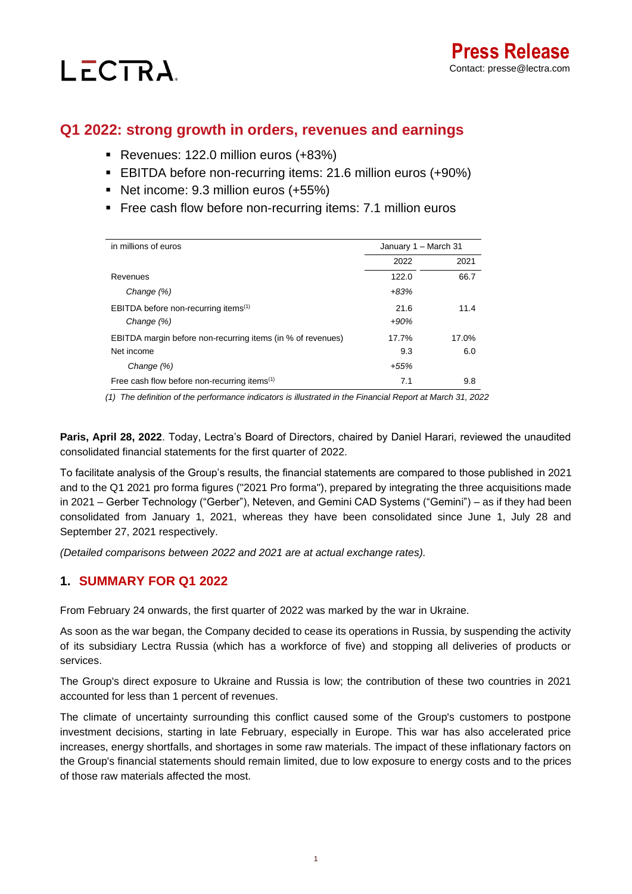**Press Release** Contact: presse@lectra.com

# **Q1 2022: strong growth in orders, revenues and earnings**

■ Revenues: 122.0 million euros (+83%)

LECTRA.

- EBITDA before non-recurring items: 21.6 million euros (+90%)
- Net income: 9.3 million euros (+55%)
- **Example 2** Free cash flow before non-recurring items: 7.1 million euros

| in millions of euros                                        | January 1 - March 31 |       |
|-------------------------------------------------------------|----------------------|-------|
|                                                             | 2022                 | 2021  |
| Revenues                                                    | 122.0                | 66.7  |
| Change (%)                                                  | $+83%$               |       |
| EBITDA before non-recurring items <sup>(1)</sup>            | 21.6                 | 11.4  |
| Change (%)                                                  | $+90%$               |       |
| EBITDA margin before non-recurring items (in % of revenues) | 17.7%                | 17.0% |
| Net income                                                  | 9.3                  | 6.0   |
| Change (%)                                                  | $+55%$               |       |
| Free cash flow before non-recurring items <sup>(1)</sup>    | 7.1                  | 9.8   |

*(1) The definition of the performance indicators is illustrated in the Financial Report at March 31, 2022*

**Paris, April 28, 2022**. Today, Lectra's Board of Directors, chaired by Daniel Harari, reviewed the unaudited consolidated financial statements for the first quarter of 2022.

To facilitate analysis of the Group's results, the financial statements are compared to those published in 2021 and to the Q1 2021 pro forma figures ("2021 Pro forma"), prepared by integrating the three acquisitions made in 2021 – Gerber Technology ("Gerber"), Neteven, and Gemini CAD Systems ("Gemini") – as if they had been consolidated from January 1, 2021, whereas they have been consolidated since June 1, July 28 and September 27, 2021 respectively.

*(Detailed comparisons between 2022 and 2021 are at actual exchange rates).*

# **1. SUMMARY FOR Q1 2022**

From February 24 onwards, the first quarter of 2022 was marked by the war in Ukraine.

As soon as the war began, the Company decided to cease its operations in Russia, by suspending the activity of its subsidiary Lectra Russia (which has a workforce of five) and stopping all deliveries of products or services.

The Group's direct exposure to Ukraine and Russia is low; the contribution of these two countries in 2021 accounted for less than 1 percent of revenues.

The climate of uncertainty surrounding this conflict caused some of the Group's customers to postpone investment decisions, starting in late February, especially in Europe. This war has also accelerated price increases, energy shortfalls, and shortages in some raw materials. The impact of these inflationary factors on the Group's financial statements should remain limited, due to low exposure to energy costs and to the prices of those raw materials affected the most.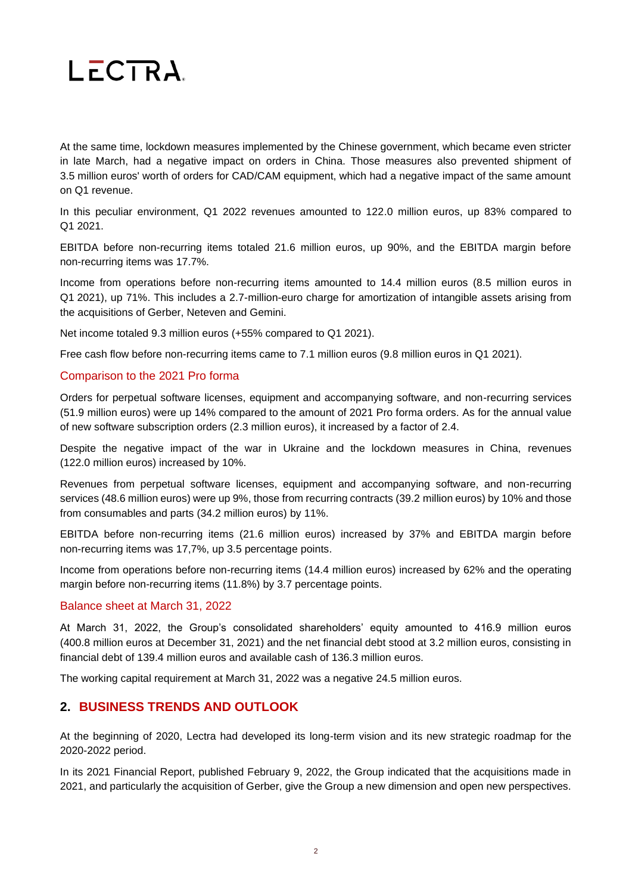

At the same time, lockdown measures implemented by the Chinese government, which became even stricter in late March, had a negative impact on orders in China. Those measures also prevented shipment of 3.5 million euros' worth of orders for CAD/CAM equipment, which had a negative impact of the same amount on Q1 revenue.

In this peculiar environment, Q1 2022 revenues amounted to 122.0 million euros, up 83% compared to Q1 2021.

EBITDA before non-recurring items totaled 21.6 million euros, up 90%, and the EBITDA margin before non-recurring items was 17.7%.

Income from operations before non-recurring items amounted to 14.4 million euros (8.5 million euros in Q1 2021), up 71%. This includes a 2.7-million-euro charge for amortization of intangible assets arising from the acquisitions of Gerber, Neteven and Gemini.

Net income totaled 9.3 million euros (+55% compared to Q1 2021).

Free cash flow before non-recurring items came to 7.1 million euros (9.8 million euros in Q1 2021).

#### Comparison to the 2021 Pro forma

Orders for perpetual software licenses, equipment and accompanying software, and non-recurring services (51.9 million euros) were up 14% compared to the amount of 2021 Pro forma orders. As for the annual value of new software subscription orders (2.3 million euros), it increased by a factor of 2.4.

Despite the negative impact of the war in Ukraine and the lockdown measures in China, revenues (122.0 million euros) increased by 10%.

Revenues from perpetual software licenses, equipment and accompanying software, and non-recurring services (48.6 million euros) were up 9%, those from recurring contracts (39.2 million euros) by 10% and those from consumables and parts (34.2 million euros) by 11%.

EBITDA before non-recurring items (21.6 million euros) increased by 37% and EBITDA margin before non-recurring items was 17,7%, up 3.5 percentage points.

Income from operations before non-recurring items (14.4 million euros) increased by 62% and the operating margin before non-recurring items (11.8%) by 3.7 percentage points.

#### Balance sheet at March 31, 2022

At March 31, 2022, the Group's consolidated shareholders' equity amounted to 416.9 million euros (400.8 million euros at December 31, 2021) and the net financial debt stood at 3.2 million euros, consisting in financial debt of 139.4 million euros and available cash of 136.3 million euros.

The working capital requirement at March 31, 2022 was a negative 24.5 million euros.

## **2. BUSINESS TRENDS AND OUTLOOK**

At the beginning of 2020, Lectra had developed its long-term vision and its new strategic roadmap for the 2020-2022 period.

In its 2021 Financial Report, published February 9, 2022, the Group indicated that the acquisitions made in 2021, and particularly the acquisition of Gerber, give the Group a new dimension and open new perspectives.